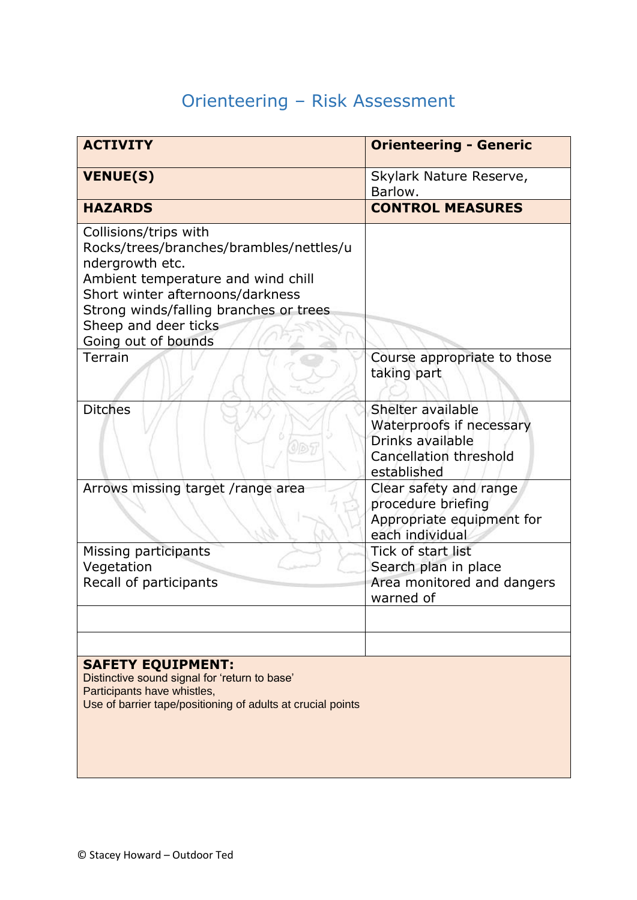## Orienteering – Risk Assessment

| <b>ACTIVITY</b>                                                                                                                                                                                                                                        | <b>Orienteering - Generic</b>                                                                              |
|--------------------------------------------------------------------------------------------------------------------------------------------------------------------------------------------------------------------------------------------------------|------------------------------------------------------------------------------------------------------------|
| <b>VENUE(S)</b>                                                                                                                                                                                                                                        | Skylark Nature Reserve,<br>Barlow.                                                                         |
| <b>HAZARDS</b>                                                                                                                                                                                                                                         | <b>CONTROL MEASURES</b>                                                                                    |
| Collisions/trips with<br>Rocks/trees/branches/brambles/nettles/u<br>ndergrowth etc.<br>Ambient temperature and wind chill<br>Short winter afternoons/darkness<br>Strong winds/falling branches or trees<br>Sheep and deer ticks<br>Going out of bounds |                                                                                                            |
| Terrain                                                                                                                                                                                                                                                | Course appropriate to those<br>taking part                                                                 |
| <b>Ditches</b>                                                                                                                                                                                                                                         | Shelter available<br>Waterproofs if necessary<br>Drinks available<br>Cancellation threshold<br>established |
| Arrows missing target /range area                                                                                                                                                                                                                      | Clear safety and range<br>procedure briefing<br>Appropriate equipment for<br>each individual               |
| Missing participants<br>Vegetation<br>Recall of participants                                                                                                                                                                                           | Tick of start list<br>Search plan in place<br>Area monitored and dangers<br>warned of                      |
|                                                                                                                                                                                                                                                        |                                                                                                            |
|                                                                                                                                                                                                                                                        |                                                                                                            |
| <b>SAFETY EQUIPMENT:</b><br>Distinctive sound signal for 'return to base'<br>Participants have whistles,<br>Use of barrier tape/positioning of adults at crucial points                                                                                |                                                                                                            |